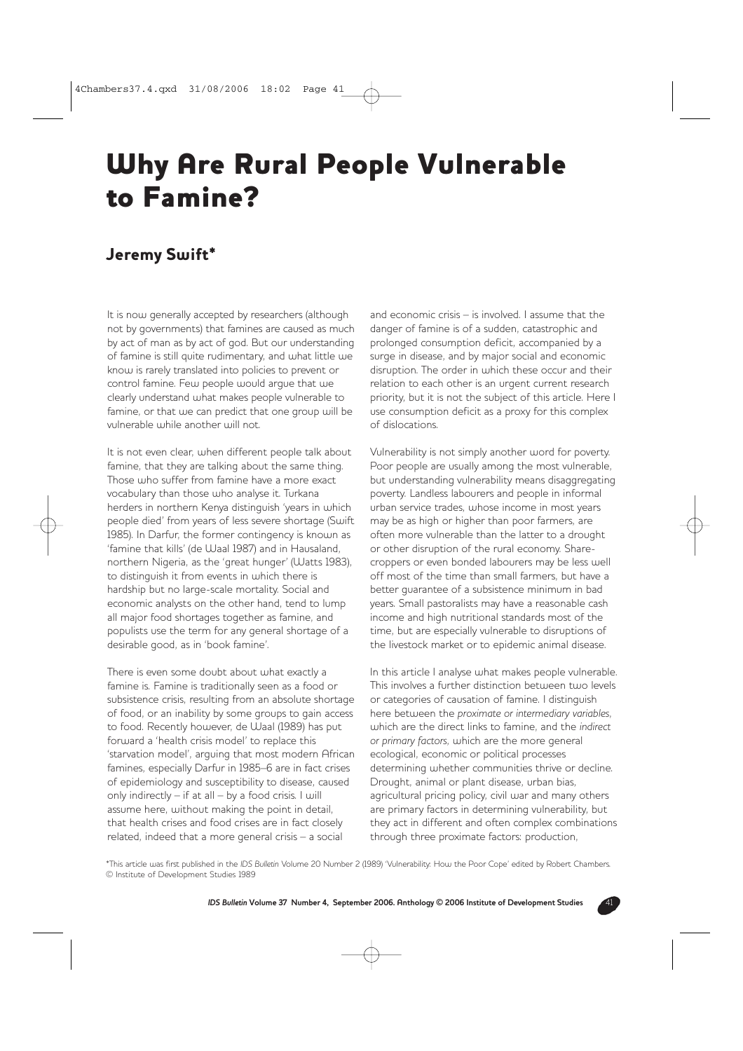# Why Are Rural People Vulnerable to Famine?

# Jeremy Swift\*

It is now generally accepted by researchers (although not by governments) that famines are caused as much by act of man as by act of god. But our understanding of famine is still quite rudimentary, and what little we know is rarely translated into policies to prevent or control famine. Few people would argue that we clearly understand what makes people vulnerable to famine, or that we can predict that one group will be vulnerable while another will not.

It is not even clear, when different people talk about famine, that they are talking about the same thing. Those who suffer from famine have a more exact vocabulary than those who analyse it. Turkana herders in northern Kenya distinguish 'years in which people died' from years of less severe shortage (Swift 1985). In Darfur, the former contingency is known as 'famine that kills' (de Waal 1987) and in Hausaland, northern Nigeria, as the 'great hunger' (Watts 1983), to distinguish it from events in which there is hardship but no large-scale mortality. Social and economic analysts on the other hand, tend to lump all major food shortages together as famine, and populists use the term for any general shortage of a desirable good, as in 'book famine'.

There is even some doubt about what exactly a famine is. Famine is traditionally seen as a food or subsistence crisis, resulting from an absolute shortage of food, or an inability by some groups to gain access to food. Recently however, de Waal (1989) has put forward a 'health crisis model' to replace this 'starvation model', arguing that most modern African famines, especially Darfur in 1985–6 are in fact crises of epidemiology and susceptibility to disease, caused only indirectly – if at all – by a food crisis. I will assume here, without making the point in detail, that health crises and food crises are in fact closely related, indeed that a more general crisis – a social

and economic crisis – is involved. I assume that the danger of famine is of a sudden, catastrophic and prolonged consumption deficit, accompanied by a surge in disease, and by major social and economic disruption. The order in which these occur and their relation to each other is an urgent current research priority, but it is not the subject of this article. Here I use consumption deficit as a proxy for this complex of dislocations.

Vulnerability is not simply another word for poverty. Poor people are usually among the most vulnerable, but understanding vulnerability means disaggregating poverty. Landless labourers and people in informal urban service trades, whose income in most years may be as high or higher than poor farmers, are often more vulnerable than the latter to a drought or other disruption of the rural economy. Sharecroppers or even bonded labourers may be less well off most of the time than small farmers, but have a better guarantee of a subsistence minimum in bad years. Small pastoralists may have a reasonable cash income and high nutritional standards most of the time, but are especially vulnerable to disruptions of the livestock market or to epidemic animal disease.

In this article I analyse what makes people vulnerable. This involves a further distinction between two levels or categories of causation of famine. I distinguish here between the *proximate or intermediary variables*, which are the direct links to famine, and the *indirect or primary factors*, which are the more general ecological, economic or political processes determining whether communities thrive or decline. Drought, animal or plant disease, urban bias, agricultural pricing policy, civil war and many others are primary factors in determining vulnerability, but they act in different and often complex combinations through three proximate factors: production,

\*This article was first published in the *IDS Bulletin* Volume 20 Number 2 (1989) 'Vulnerability: How the Poor Cope' edited by Robert Chambers. © Institute of Development Studies 1989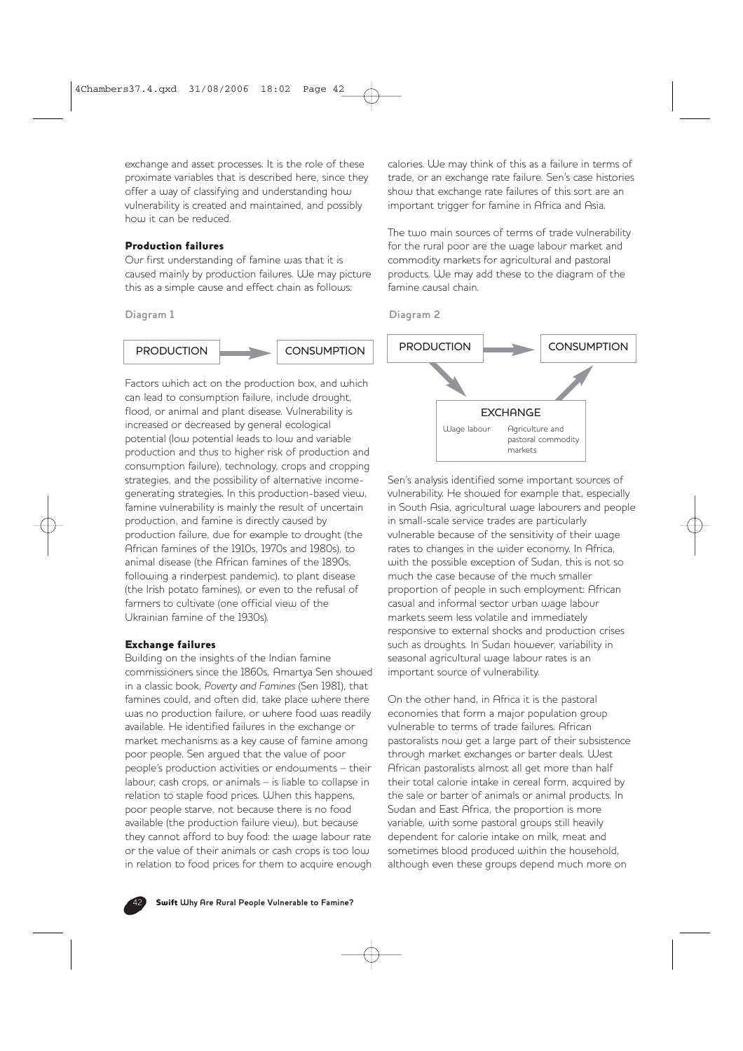exchange and asset processes. It is the role of these proximate variables that is described here, since they offer a way of classifying and understanding how vulnerability is created and maintained, and possibly how it can be reduced.

#### Production failures

Our first understanding of famine was that it is caused mainly by production failures. We may picture this as a simple cause and effect chain as follows:

**Diagram 1 Diagram 2**



Factors which act on the production box, and which can lead to consumption failure, include drought, flood, or animal and plant disease. Vulnerability is increased or decreased by general ecological potential (low potential leads to low and variable production and thus to higher risk of production and consumption failure), technology, crops and cropping strategies, and the possibility of alternative incomegenerating strategies. In this production-based view, famine vulnerability is mainly the result of uncertain production, and famine is directly caused by production failure, due for example to drought (the African famines of the 1910s, 1970s and 1980s), to animal disease (the African famines of the 1890s, following a rinderpest pandemic), to plant disease (the Irish potato famines), or even to the refusal of farmers to cultivate (one official view of the Ukrainian famine of the 1930s).

# Exchange failures

Building on the insights of the Indian famine commissioners since the 1860s, Amartya Sen showed in a classic book, *Poverty and Famines* (Sen 1981), that famines could, and often did, take place where there was no production failure, or where food was readily available. He identified failures in the exchange or market mechanisms as a key cause of famine among poor people. Sen argued that the value of poor people's production activities or endowments – their labour, cash crops, or animals – is liable to collapse in relation to staple food prices. When this happens, poor people starve, not because there is no food available (the production failure view), but because they cannot afford to buy food: the wage labour rate or the value of their animals or cash crops is too low in relation to food prices for them to acquire enough

calories. We may think of this as a failure in terms of trade, or an exchange rate failure. Sen's case histories show that exchange rate failures of this sort are an important trigger for famine in Africa and Asia.

The two main sources of terms of trade vulnerability for the rural poor are the wage labour market and commodity markets for agricultural and pastoral products. We may add these to the diagram of the famine causal chain.



Sen's analysis identified some important sources of vulnerability. He showed for example that, especially in South Asia, agricultural wage labourers and people in small-scale service trades are particularly vulnerable because of the sensitivity of their wage rates to changes in the wider economy. In Africa, with the possible exception of Sudan, this is not so much the case because of the much smaller proportion of people in such employment: African casual and informal sector urban wage labour markets seem less volatile and immediately responsive to external shocks and production crises such as droughts. In Sudan however, variability in seasonal agricultural wage labour rates is an important source of vulnerability.

On the other hand, in Africa it is the pastoral economies that form a major population group vulnerable to terms of trade failures. African pastoralists now get a large part of their subsistence through market exchanges or barter deals. West African pastoralists almost all get more than half their total calorie intake in cereal form, acquired by the sale or barter of animals or animal products. In Sudan and East Africa, the proportion is more variable, with some pastoral groups still heavily dependent for calorie intake on milk, meat and sometimes blood produced within the household, although even these groups depend much more on

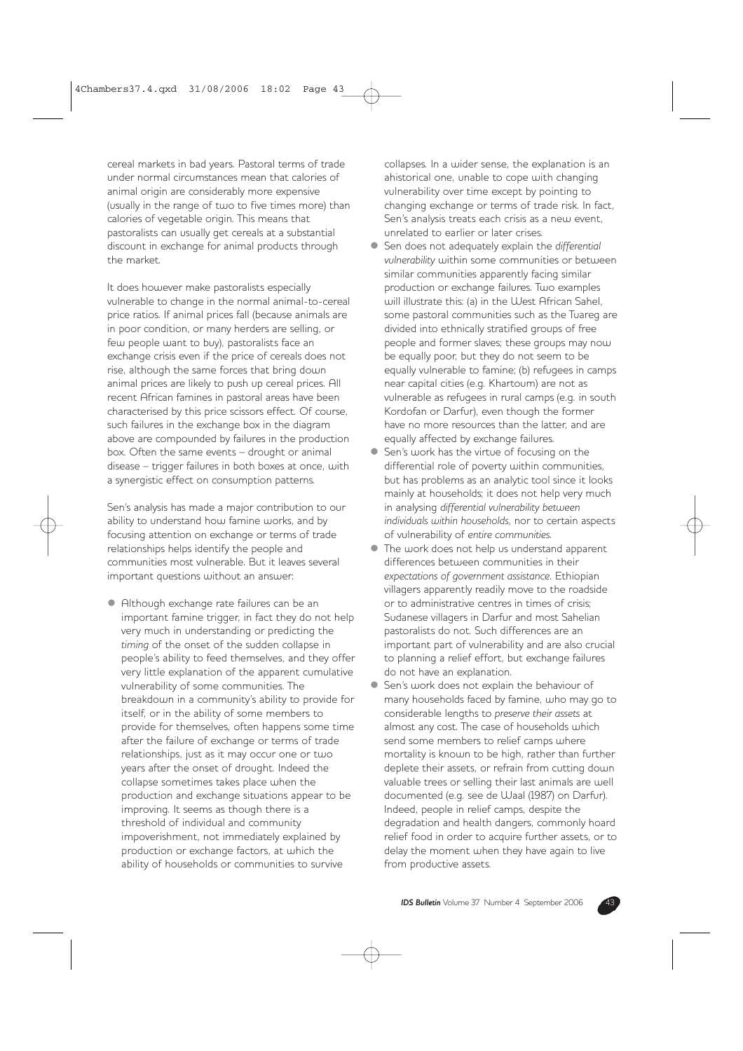cereal markets in bad years. Pastoral terms of trade under normal circumstances mean that calories of animal origin are considerably more expensive (usually in the range of two to five times more) than calories of vegetable origin. This means that pastoralists can usually get cereals at a substantial discount in exchange for animal products through the market.

It does however make pastoralists especially vulnerable to change in the normal animal-to-cereal price ratios. If animal prices fall (because animals are in poor condition, or many herders are selling, or few people want to buy), pastoralists face an exchange crisis even if the price of cereals does not rise, although the same forces that bring down animal prices are likely to push up cereal prices. All recent African famines in pastoral areas have been characterised by this price scissors effect. Of course, such failures in the exchange box in the diagram above are compounded by failures in the production box. Often the same events – drought or animal disease – trigger failures in both boxes at once, with a synergistic effect on consumption patterns.

Sen's analysis has made a major contribution to our ability to understand how famine works, and by focusing attention on exchange or terms of trade relationships helps identify the people and communities most vulnerable. But it leaves several important questions without an answer:

• Although exchange rate failures can be an important famine trigger, in fact they do not help very much in understanding or predicting the *timing* of the onset of the sudden collapse in people's ability to feed themselves, and they offer very little explanation of the apparent cumulative vulnerability of some communities. The breakdown in a community's ability to provide for itself, or in the ability of some members to provide for themselves, often happens some time after the failure of exchange or terms of trade relationships, just as it may occur one or two years after the onset of drought. Indeed the collapse sometimes takes place when the production and exchange situations appear to be improving. It seems as though there is a threshold of individual and community impoverishment, not immediately explained by production or exchange factors, at which the ability of households or communities to survive

collapses. In a wider sense, the explanation is an ahistorical one, unable to cope with changing vulnerability over time except by pointing to changing exchange or terms of trade risk. In fact, Sen's analysis treats each crisis as a new event, unrelated to earlier or later crises.

- **•** Sen does not adequately explain the *differential vulnerability* within some communities or between similar communities apparently facing similar production or exchange failures. Two examples will illustrate this: (a) in the West African Sahel, some pastoral communities such as the Tuareg are divided into ethnically stratified groups of free people and former slaves; these groups may now be equally poor, but they do not seem to be equally vulnerable to famine; (b) refugees in camps near capital cities (e.g. Khartoum) are not as vulnerable as refugees in rural camps (e.g. in south Kordofan or Darfur), even though the former have no more resources than the latter, and are equally affected by exchange failures.
- **•** Sen's work has the virtue of focusing on the differential role of poverty within communities, but has problems as an analytic tool since it looks mainly at households; it does not help very much in analysing *differential vulnerability between individuals within households*, nor to certain aspects of vulnerability of *entire communities*.
- The work does not help us understand apparent differences between communities in their *expectations of government assistance*. Ethiopian villagers apparently readily move to the roadside or to administrative centres in times of crisis; Sudanese villagers in Darfur and most Sahelian pastoralists do not. Such differences are an important part of vulnerability and are also crucial to planning a relief effort, but exchange failures do not have an explanation.
- Sen's work does not explain the behaviour of many households faced by famine, who may go to considerable lengths to *preserve their assets* at almost any cost. The case of households which send some members to relief camps where mortality is known to be high, rather than further deplete their assets, or refrain from cutting down valuable trees or selling their last animals are well documented (e.g. see de Waal (1987) on Darfur). Indeed, people in relief camps, despite the degradation and health dangers, commonly hoard relief food in order to acquire further assets, or to delay the moment when they have again to live from productive assets.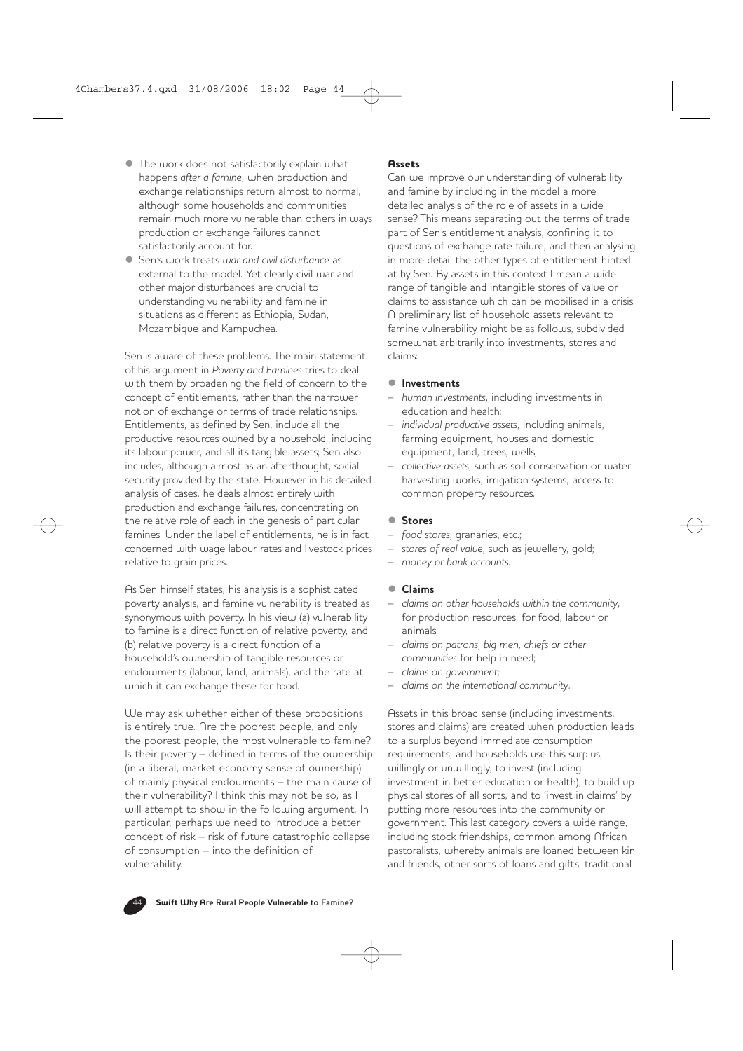- $\bullet$  The work does not satisfactorily explain what happens *after a famine*, when production and exchange relationships return almost to normal, although some households and communities remain much more vulnerable than others in ways production or exchange failures cannot satisfactorily account for.
- Sen's work treats war and civil disturbance as external to the model. Yet clearly civil war and other major disturbances are crucial to understanding vulnerability and famine in situations as different as Ethiopia, Sudan, Mozambique and Kampuchea.

Sen is aware of these problems. The main statement of his argument in *Poverty and Famines* tries to deal with them by broadening the field of concern to the concept of entitlements, rather than the narrower notion of exchange or terms of trade relationships. Entitlements, as defined by Sen, include all the productive resources owned by a household, including its labour power, and all its tangible assets; Sen also includes, although almost as an afterthought, social security provided by the state. However in his detailed analysis of cases, he deals almost entirely with production and exchange failures, concentrating on the relative role of each in the genesis of particular famines. Under the label of entitlements, he is in fact concerned with wage labour rates and livestock prices relative to grain prices.

As Sen himself states, his analysis is a sophisticated poverty analysis, and famine vulnerability is treated as synonymous with poverty. In his view (a) vulnerability to famine is a direct function of relative poverty, and (b) relative poverty is a direct function of a household's ownership of tangible resources or endowments (labour, land, animals), and the rate at which it can exchange these for food.

We may ask whether either of these propositions is entirely true. Are the poorest people, and only the poorest people, the most vulnerable to famine? Is their poverty – defined in terms of the ownership (in a liberal, market economy sense of ownership) of mainly physical endowments – the main cause of their vulnerability? I think this may not be so, as I will attempt to show in the following argument. In particular, perhaps we need to introduce a better concept of risk – risk of future catastrophic collapse of consumption – into the definition of vulnerability.

#### **Assets**

Can we improve our understanding of vulnerability and famine by including in the model a more detailed analysis of the role of assets in a wide sense? This means separating out the terms of trade part of Sen's entitlement analysis, confining it to questions of exchange rate failure, and then analysing in more detail the other types of entitlement hinted at by Sen. By assets in this context I mean a wide range of tangible and intangible stores of value or claims to assistance which can be mobilised in a crisis. A preliminary list of household assets relevant to famine vulnerability might be as follows, subdivided somewhat arbitrarily into investments, stores and claims:

#### $\bullet$  Investments

- *human investments*, including investments in education and health;
- *individual productive assets*, including animals, farming equipment, houses and domestic equipment, land, trees, wells;
- *collective assets*, such as soil conservation or water harvesting works, irrigation systems, access to common property resources.

#### z **Stores**

- *food stores*, granaries, etc.;
- *stores of real value*, such as jewellery, gold;
- *money or bank accounts*.

#### z **Claims**

- *claims on other households within the community*, for production resources, for food, labour or animals;
- *claims on patrons, big men, chiefs or other communities* for help in need;
- *claims on government;*
- *claims on the international community.*

Assets in this broad sense (including investments, stores and claims) are created when production leads to a surplus beyond immediate consumption requirements, and households use this surplus, willingly or unwillingly, to invest (including investment in better education or health), to build up physical stores of all sorts, and to 'invest in claims' by putting more resources into the community or government. This last category covers a wide range, including stock friendships, common among African pastoralists, whereby animals are loaned between kin and friends, other sorts of loans and gifts, traditional

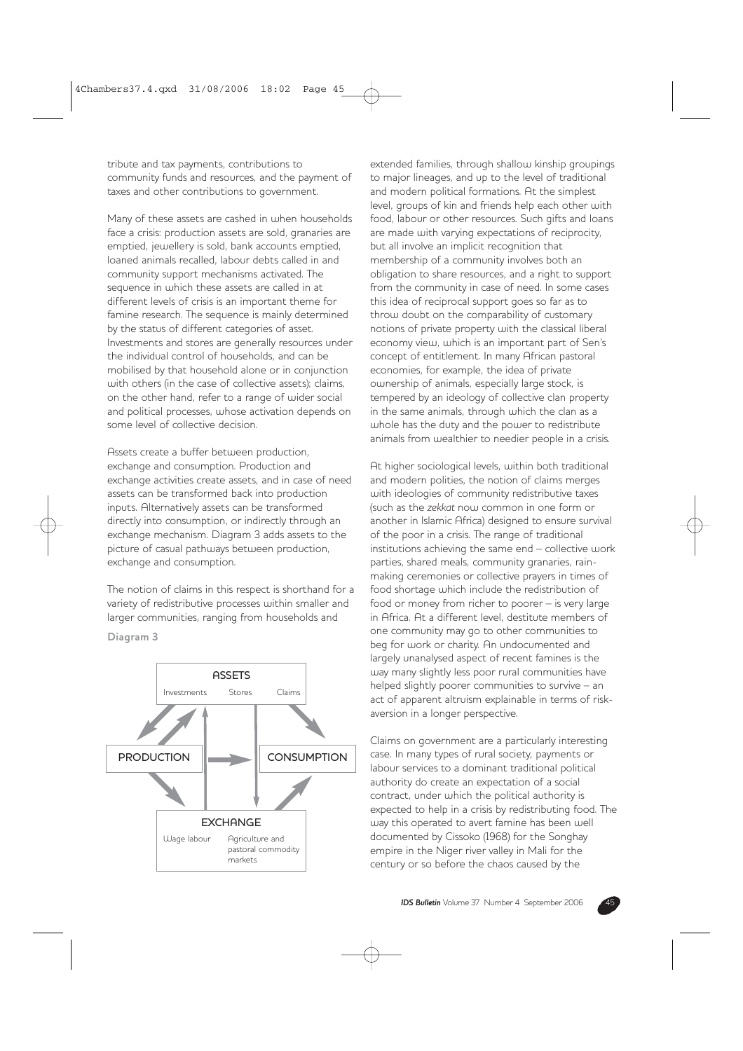tribute and tax payments, contributions to community funds and resources, and the payment of taxes and other contributions to government.

Many of these assets are cashed in when households face a crisis: production assets are sold, granaries are emptied, jewellery is sold, bank accounts emptied, loaned animals recalled, labour debts called in and community support mechanisms activated. The sequence in which these assets are called in at different levels of crisis is an important theme for famine research. The sequence is mainly determined by the status of different categories of asset. Investments and stores are generally resources under the individual control of households, and can be mobilised by that household alone or in conjunction with others (in the case of collective assets); claims, on the other hand, refer to a range of wider social and political processes, whose activation depends on some level of collective decision.

Assets create a buffer between production, exchange and consumption. Production and exchange activities create assets, and in case of need assets can be transformed back into production inputs. Alternatively assets can be transformed directly into consumption, or indirectly through an exchange mechanism. Diagram 3 adds assets to the picture of casual pathways between production, exchange and consumption.

The notion of claims in this respect is shorthand for a variety of redistributive processes within smaller and larger communities, ranging from households and

**Diagram 3**



extended families, through shallow kinship groupings to major lineages, and up to the level of traditional and modern political formations. At the simplest level, groups of kin and friends help each other with food, labour or other resources. Such gifts and loans are made with varying expectations of reciprocity, but all involve an implicit recognition that membership of a community involves both an obligation to share resources, and a right to support from the community in case of need. In some cases this idea of reciprocal support goes so far as to throw doubt on the comparability of customary notions of private property with the classical liberal economy view, which is an important part of Sen's concept of entitlement. In many African pastoral economies, for example, the idea of private ownership of animals, especially large stock, is tempered by an ideology of collective clan property in the same animals, through which the clan as a whole has the duty and the power to redistribute animals from wealthier to needier people in a crisis.

At higher sociological levels, within both traditional and modern polities, the notion of claims merges with ideologies of community redistributive taxes (such as the *zekkat* now common in one form or another in Islamic Africa) designed to ensure survival of the poor in a crisis. The range of traditional institutions achieving the same end – collective work parties, shared meals, community granaries, rainmaking ceremonies or collective prayers in times of food shortage which include the redistribution of food or money from richer to poorer – is very large in Africa. At a different level, destitute members of one community may go to other communities to beg for work or charity. An undocumented and largely unanalysed aspect of recent famines is the way many slightly less poor rural communities have helped slightly poorer communities to survive – an act of apparent altruism explainable in terms of riskaversion in a longer perspective.

Claims on government are a particularly interesting case. In many types of rural society, payments or labour services to a dominant traditional political authority do create an expectation of a social contract, under which the political authority is expected to help in a crisis by redistributing food. The way this operated to avert famine has been well documented by Cissoko (1968) for the Songhay empire in the Niger river valley in Mali for the century or so before the chaos caused by the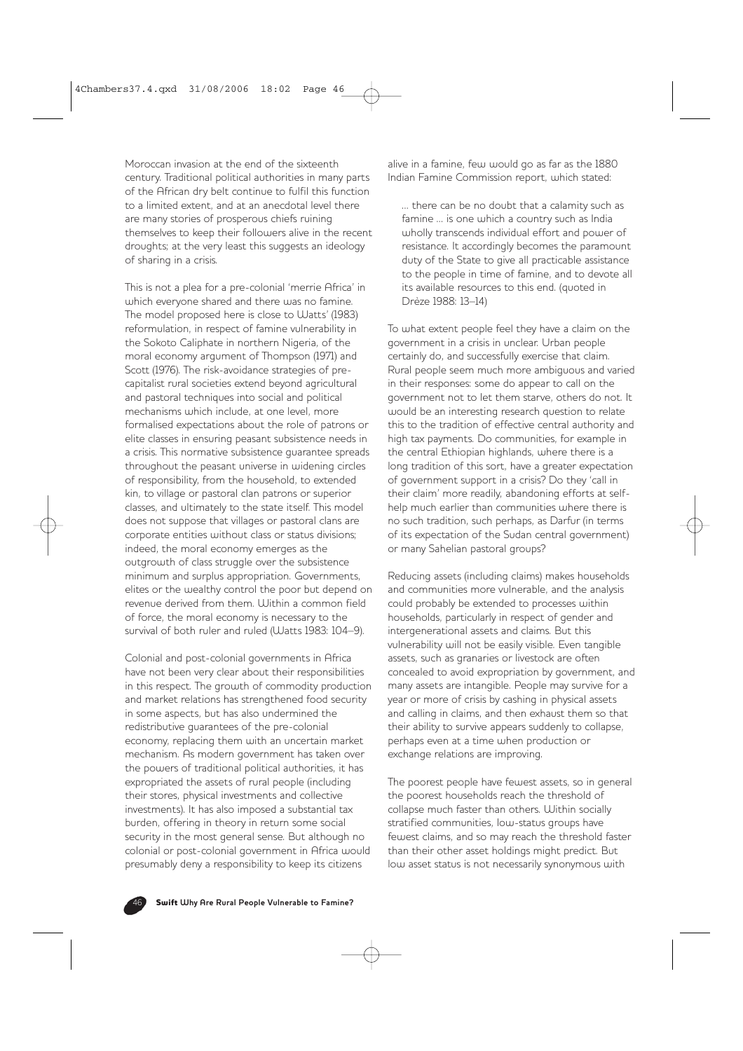Moroccan invasion at the end of the sixteenth century. Traditional political authorities in many parts of the African dry belt continue to fulfil this function to a limited extent, and at an anecdotal level there are many stories of prosperous chiefs ruining themselves to keep their followers alive in the recent droughts; at the very least this suggests an ideology of sharing in a crisis.

This is not a plea for a pre-colonial 'merrie Africa' in which everyone shared and there was no famine. The model proposed here is close to Watts' (1983) reformulation, in respect of famine vulnerability in the Sokoto Caliphate in northern Nigeria, of the moral economy argument of Thompson (1971) and Scott (1976). The risk-avoidance strategies of precapitalist rural societies extend beyond agricultural and pastoral techniques into social and political mechanisms which include, at one level, more formalised expectations about the role of patrons or elite classes in ensuring peasant subsistence needs in a crisis. This normative subsistence guarantee spreads throughout the peasant universe in widening circles of responsibility, from the household, to extended kin, to village or pastoral clan patrons or superior classes, and ultimately to the state itself. This model does not suppose that villages or pastoral clans are corporate entities without class or status divisions; indeed, the moral economy emerges as the outgrowth of class struggle over the subsistence minimum and surplus appropriation. Governments, elites or the wealthy control the poor but depend on revenue derived from them. Within a common field of force, the moral economy is necessary to the survival of both ruler and ruled (Watts 1983: 104–9).

Colonial and post-colonial governments in Africa have not been very clear about their responsibilities in this respect. The growth of commodity production and market relations has strengthened food security in some aspects, but has also undermined the redistributive guarantees of the pre-colonial economy, replacing them with an uncertain market mechanism. As modern government has taken over the powers of traditional political authorities, it has expropriated the assets of rural people (including their stores, physical investments and collective investments). It has also imposed a substantial tax burden, offering in theory in return some social security in the most general sense. But although no colonial or post-colonial government in Africa would presumably deny a responsibility to keep its citizens

alive in a famine, few would go as far as the 1880 Indian Famine Commission report, which stated:

... there can be no doubt that a calamity such as famine ... is one which a country such as India wholly transcends individual effort and power of resistance. It accordingly becomes the paramount duty of the State to give all practicable assistance to the people in time of famine, and to devote all its available resources to this end. (quoted in Drèze 1988: 13–14)

To what extent people feel they have a claim on the government in a crisis in unclear. Urban people certainly do, and successfully exercise that claim. Rural people seem much more ambiguous and varied in their responses: some do appear to call on the government not to let them starve, others do not. It would be an interesting research question to relate this to the tradition of effective central authority and high tax payments. Do communities, for example in the central Ethiopian highlands, where there is a long tradition of this sort, have a greater expectation of government support in a crisis? Do they 'call in their claim' more readily, abandoning efforts at selfhelp much earlier than communities where there is no such tradition, such perhaps, as Darfur (in terms of its expectation of the Sudan central government) or many Sahelian pastoral groups?

Reducing assets (including claims) makes households and communities more vulnerable, and the analysis could probably be extended to processes within households, particularly in respect of gender and intergenerational assets and claims. But this vulnerability will not be easily visible. Even tangible assets, such as granaries or livestock are often concealed to avoid expropriation by government, and many assets are intangible. People may survive for a year or more of crisis by cashing in physical assets and calling in claims, and then exhaust them so that their ability to survive appears suddenly to collapse, perhaps even at a time when production or exchange relations are improving.

The poorest people have fewest assets, so in general the poorest households reach the threshold of collapse much faster than others. Within socially stratified communities, low-status groups have fewest claims, and so may reach the threshold faster than their other asset holdings might predict. But low asset status is not necessarily synonymous with

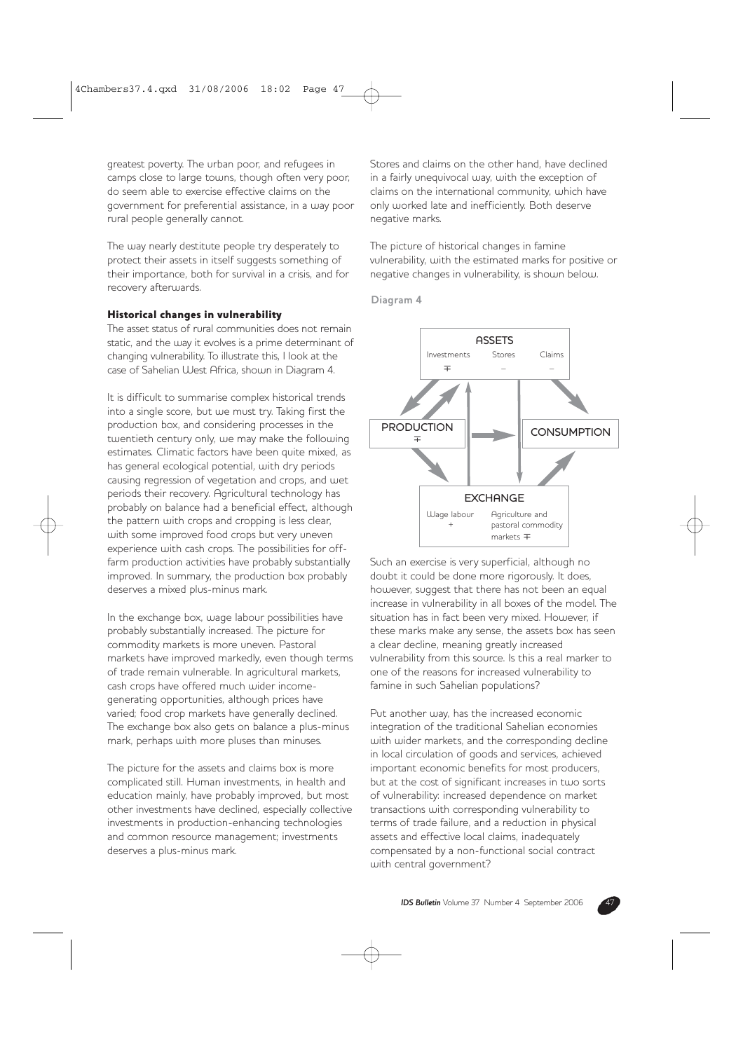greatest poverty. The urban poor, and refugees in camps close to large towns, though often very poor, do seem able to exercise effective claims on the government for preferential assistance, in a way poor rural people generally cannot.

The way nearly destitute people try desperately to protect their assets in itself suggests something of their importance, both for survival in a crisis, and for recovery afterwards.

## Historical changes in vulnerability

The asset status of rural communities does not remain static, and the way it evolves is a prime determinant of changing vulnerability. To illustrate this, I look at the case of Sahelian West Africa, shown in Diagram 4.

It is difficult to summarise complex historical trends into a single score, but we must try. Taking first the production box, and considering processes in the twentieth century only, we may make the following estimates. Climatic factors have been quite mixed, as has general ecological potential, with dry periods causing regression of vegetation and crops, and wet periods their recovery. Agricultural technology has probably on balance had a beneficial effect, although the pattern with crops and cropping is less clear, with some improved food crops but very uneven experience with cash crops. The possibilities for offfarm production activities have probably substantially improved. In summary, the production box probably deserves a mixed plus-minus mark.

In the exchange box, wage labour possibilities have probably substantially increased. The picture for commodity markets is more uneven. Pastoral markets have improved markedly, even though terms of trade remain vulnerable. In agricultural markets, cash crops have offered much wider incomegenerating opportunities, although prices have varied; food crop markets have generally declined. The exchange box also gets on balance a plus-minus mark, perhaps with more pluses than minuses.

The picture for the assets and claims box is more complicated still. Human investments, in health and education mainly, have probably improved, but most other investments have declined, especially collective investments in production-enhancing technologies and common resource management; investments deserves a plus-minus mark.

Stores and claims on the other hand, have declined in a fairly unequivocal way, with the exception of claims on the international community, which have only worked late and inefficiently. Both deserve negative marks.

The picture of historical changes in famine vulnerability, with the estimated marks for positive or negative changes in vulnerability, is shown below.





Such an exercise is very superficial, although no doubt it could be done more rigorously. It does, however, suggest that there has not been an equal increase in vulnerability in all boxes of the model. The situation has in fact been very mixed. However, if these marks make any sense, the assets box has seen a clear decline, meaning greatly increased vulnerability from this source. Is this a real marker to one of the reasons for increased vulnerability to famine in such Sahelian populations?

Put another way, has the increased economic integration of the traditional Sahelian economies with wider markets, and the corresponding decline in local circulation of goods and services, achieved important economic benefits for most producers, but at the cost of significant increases in two sorts of vulnerability: increased dependence on market transactions with corresponding vulnerability to terms of trade failure, and a reduction in physical assets and effective local claims, inadequately compensated by a non-functional social contract with central government?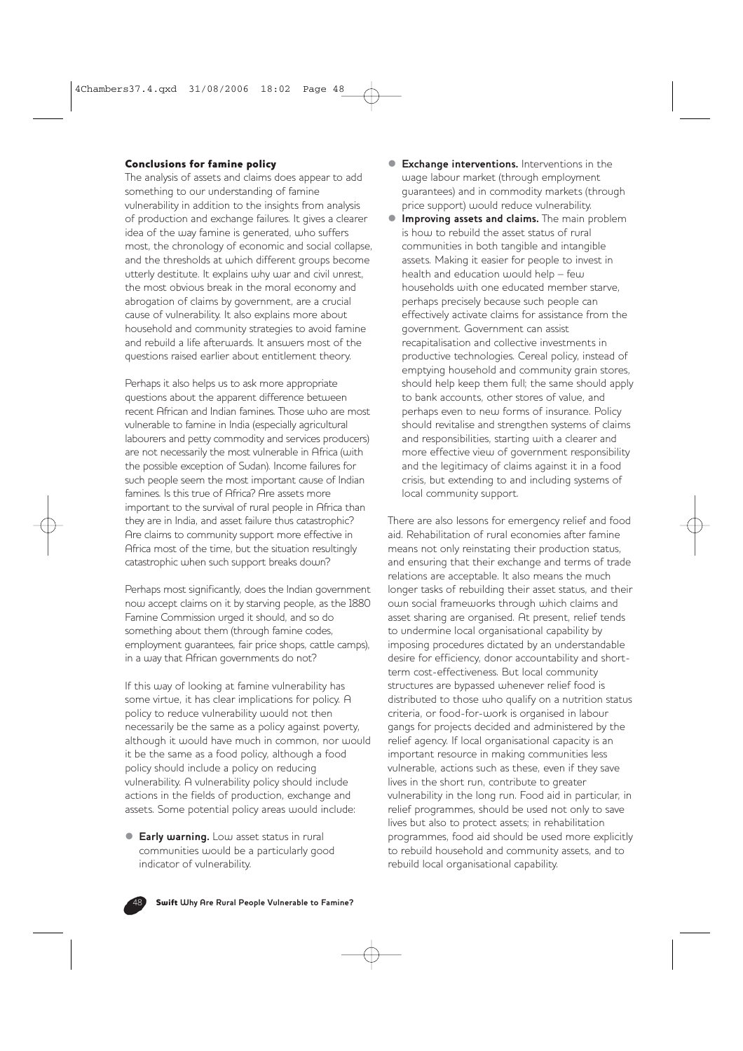#### Conclusions for famine policy

The analysis of assets and claims does appear to add something to our understanding of famine vulnerability in addition to the insights from analysis of production and exchange failures. It gives a clearer idea of the way famine is generated, who suffers most, the chronology of economic and social collapse, and the thresholds at which different groups become utterly destitute. It explains why war and civil unrest, the most obvious break in the moral economy and abrogation of claims by government, are a crucial cause of vulnerability. It also explains more about household and community strategies to avoid famine and rebuild a life afterwards. It answers most of the questions raised earlier about entitlement theory.

Perhaps it also helps us to ask more appropriate questions about the apparent difference between recent African and Indian famines. Those who are most vulnerable to famine in India (especially agricultural labourers and petty commodity and services producers) are not necessarily the most vulnerable in Africa (with the possible exception of Sudan). Income failures for such people seem the most important cause of Indian famines. Is this true of Africa? Are assets more important to the survival of rural people in Africa than they are in India, and asset failure thus catastrophic? Are claims to community support more effective in Africa most of the time, but the situation resultingly catastrophic when such support breaks down?

Perhaps most significantly, does the Indian government now accept claims on it by starving people, as the 1880 Famine Commission urged it should, and so do something about them (through famine codes, employment guarantees, fair price shops, cattle camps), in a way that African governments do not?

If this way of looking at famine vulnerability has some virtue, it has clear implications for policy. A policy to reduce vulnerability would not then necessarily be the same as a policy against poverty, although it would have much in common, nor would it be the same as a food policy, although a food policy should include a policy on reducing vulnerability. A vulnerability policy should include actions in the fields of production, exchange and assets. Some potential policy areas would include:

**Early warning.** Low asset status in rural communities would be a particularly good indicator of vulnerability.

- **Exchange interventions.** Interventions in the wage labour market (through employment guarantees) and in commodity markets (through price support) would reduce vulnerability.
- **Improving assets and claims.** The main problem is how to rebuild the asset status of rural communities in both tangible and intangible assets. Making it easier for people to invest in health and education would help – few households with one educated member starve, perhaps precisely because such people can effectively activate claims for assistance from the government. Government can assist recapitalisation and collective investments in productive technologies. Cereal policy, instead of emptying household and community grain stores, should help keep them full; the same should apply to bank accounts, other stores of value, and perhaps even to new forms of insurance. Policy should revitalise and strengthen systems of claims and responsibilities, starting with a clearer and more effective view of government responsibility and the legitimacy of claims against it in a food crisis, but extending to and including systems of local community support.

There are also lessons for emergency relief and food aid. Rehabilitation of rural economies after famine means not only reinstating their production status, and ensuring that their exchange and terms of trade relations are acceptable. It also means the much longer tasks of rebuilding their asset status, and their own social frameworks through which claims and asset sharing are organised. At present, relief tends to undermine local organisational capability by imposing procedures dictated by an understandable desire for efficiency, donor accountability and shortterm cost-effectiveness. But local community structures are bypassed whenever relief food is distributed to those who qualify on a nutrition status criteria, or food-for-work is organised in labour gangs for projects decided and administered by the relief agency. If local organisational capacity is an important resource in making communities less vulnerable, actions such as these, even if they save lives in the short run, contribute to greater vulnerability in the long run. Food aid in particular, in relief programmes, should be used not only to save lives but also to protect assets; in rehabilitation programmes, food aid should be used more explicitly to rebuild household and community assets, and to rebuild local organisational capability.